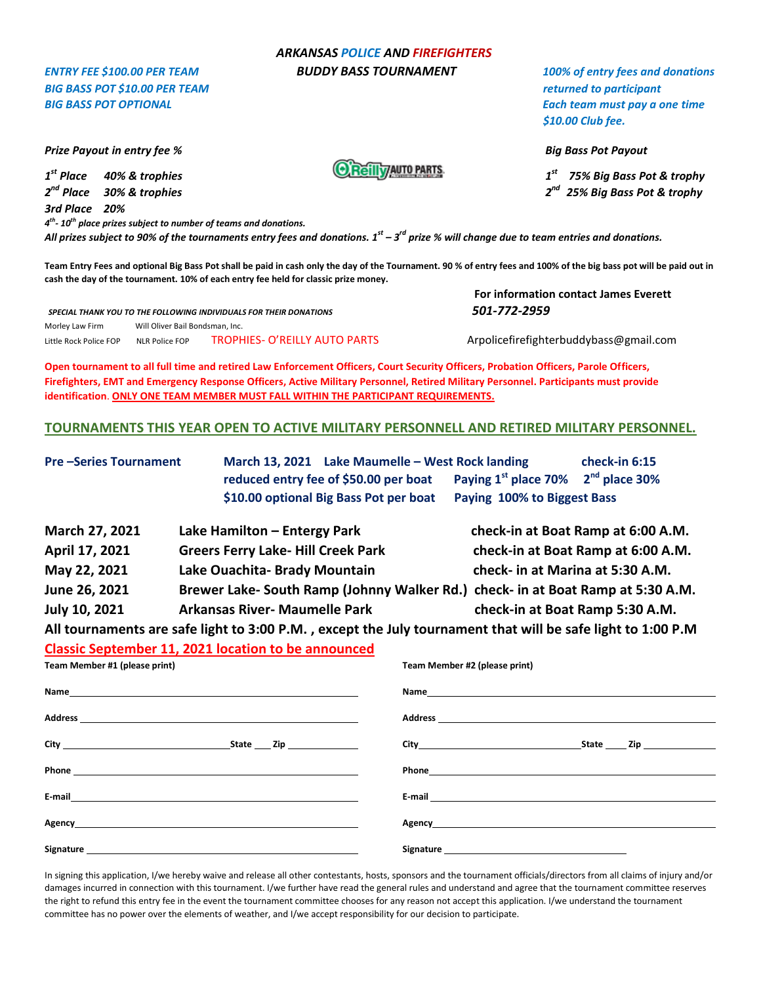# *ARKANSAS POLICE AND FIREFIGHTERS*

*BIG BASS POT \$10.00 PER TEAM returned to participant* 

*Prize Payout in entry fee % Big Bass Pot Payout*

*1 st Place 40% & trophies 1 2 nd Place 30% & trophies 2 3rd Place 20%*

*4 th - 10th place prizes subject to number of teams and donations.*

*ENTRY FEE \$100.00 PER TEAM BUDDY BASS TOURNAMENT 100% of entry fees and donations BIG BASS POT OPTIONAL Each team must pay a one time \$10.00 Club fee.* 

*st 75% Big Bass Pot & trophy nd 25% Big Bass Pot & trophy*

All prizes subject to 90% of the tournaments entry fees and donations. 1<sup>st</sup> – 3<sup>rd</sup> prize % will change due to team entries and donations.

**Team Entry Fees and optional Big Bass Pot shall be paid in cash only the day of the Tournament. 90 % of entry fees and 100% of the big bass pot will be paid out in cash the day of the tournament. 10% of each entry fee held for classic prize money.** 

*SPECIAL THANK YOU TO THE FOLLOWING INDIVIDUALS FOR THEIR DONATIONS 501-772-2959* Morley Law Firm Will Oliver Bail Bondsman, Inc. Little Rock Police FOP NLR Police FOP TROPHIES- O'REILLY AUTO PARTS Arpolicefirefighterbuddybass@gmail.com

**For information contact James Everett**

**Open tournament to all full time and retired Law Enforcement Officers, Court Security Officers, Probation Officers, Parole Officers, Firefighters, EMT and Emergency Response Officers, Active Military Personnel, Retired Military Personnel. Participants must provide identification**. **ONLY ONE TEAM MEMBER MUST FALL WITHIN THE PARTICIPANT REQUIREMENTS.** 

### **TOURNAMENTS THIS YEAR OPEN TO ACTIVE MILITARY PERSONNELL AND RETIRED MILITARY PERSONNEL.**

| <b>Pre-Series Tournament</b> | March 13, 2021 Lake Maumelle - West Rock landing<br>reduced entry fee of \$50.00 per boat<br>\$10.00 optional Big Bass Pot per boat | Paying 1 <sup>st</sup> place 70%<br>Paying 100% to Biggest Bass | check-in 6:15<br>$2nd$ place 30% |
|------------------------------|-------------------------------------------------------------------------------------------------------------------------------------|-----------------------------------------------------------------|----------------------------------|
| March 27, 2021               | Lake Hamilton - Entergy Park                                                                                                        | check-in at Boat Ramp at 6:00 A.M.                              |                                  |
| April 17, 2021               | <b>Greers Ferry Lake- Hill Creek Park</b>                                                                                           | check-in at Boat Ramp at 6:00 A.M.                              |                                  |
| May 22, 2021                 | Lake Ouachita- Brady Mountain<br>check- in at Marina at 5:30 A.M.                                                                   |                                                                 |                                  |
| June 26, 2021                | Brewer Lake- South Ramp (Johnny Walker Rd.) check- in at Boat Ramp at 5:30 A.M.                                                     |                                                                 |                                  |
| July 10, 2021                | <b>Arkansas River- Maumelle Park</b><br>check-in at Boat Ramp 5:30 A.M.                                                             |                                                                 |                                  |

**All tournaments are safe light to 3:00 P.M. , except the July tournament that will be safe light to 1:00 P.M** 

## **Classic September 11, 2021 location to be announced**

| Team Member #1 (please print)                                                                                                                                                                                                         | Team Member #2 (please print)           |
|---------------------------------------------------------------------------------------------------------------------------------------------------------------------------------------------------------------------------------------|-----------------------------------------|
| Name <b>nt and the contract of the contract of the contract of the contract of the contract of the contract of the contract of the contract of the contract of the contract of the contract of the contract of the contract of th</b> |                                         |
|                                                                                                                                                                                                                                       |                                         |
|                                                                                                                                                                                                                                       | _State ______ Zip __________________    |
|                                                                                                                                                                                                                                       |                                         |
|                                                                                                                                                                                                                                       |                                         |
|                                                                                                                                                                                                                                       |                                         |
|                                                                                                                                                                                                                                       | Signature _____________________________ |

In signing this application, I/we hereby waive and release all other contestants, hosts, sponsors and the tournament officials/directors from all claims of injury and/or damages incurred in connection with this tournament. I/we further have read the general rules and understand and agree that the tournament committee reserves the right to refund this entry fee in the event the tournament committee chooses for any reason not accept this application. I/we understand the tournament committee has no power over the elements of weather, and I/we accept responsibility for our decision to participate.